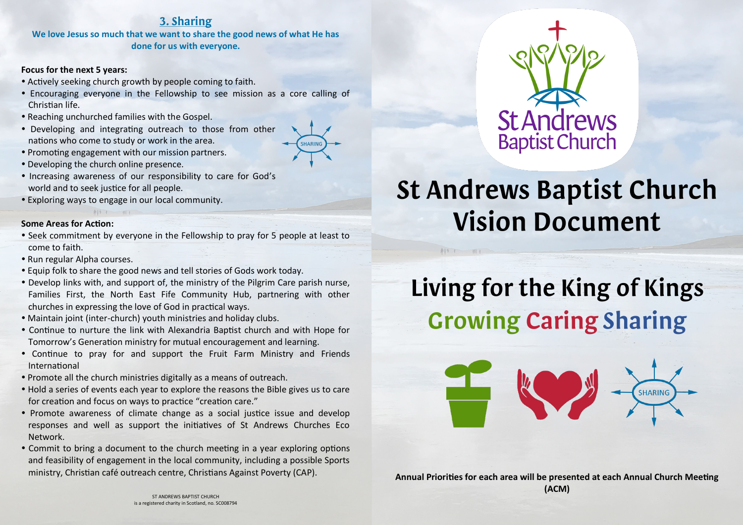## 3. Sharing

**We love Jesus so much that we want to share the good news of what He has done for us with everyone.**

#### **Focus for the next 5 years:**

- Actively seeking church growth by people coming to faith.
- Encouraging everyone in the Fellowship to see mission as a core calling of Christian life.
- Reaching unchurched families with the Gospel.
- Developing and integrating outreach to those from other nations who come to study or work in the area.
- Promoting engagement with our mission partners.
- Developing the church online presence.
- Increasing awareness of our responsibility to care for God's world and to seek justice for all people.
- Exploring ways to engage in our local community.

#### **Some Areas for Action:**

- Seek commitment by everyone in the Fellowship to pray for 5 people at least to come to faith.
- Run regular Alpha courses.
- Equip folk to share the good news and tell stories of Gods work today.
- Develop links with, and support of, the ministry of the Pilgrim Care parish nurse, Families First, the North East Fife Community Hub, partnering with other churches in expressing the love of God in practical ways.
- Maintain joint (inter-church) youth ministries and holiday clubs.
- Continue to nurture the link with Alexandria Baptist church and with Hope for Tomorrow's Generation ministry for mutual encouragement and learning.
- Continue to pray for and support the Fruit Farm Ministry and Friends International
- Promote all the church ministries digitally as a means of outreach.
- Hold a series of events each year to explore the reasons the Bible gives us to care for creation and focus on ways to practice "creation care."
- Promote awareness of climate change as a social justice issue and develop responses and well as support the initiatives of St Andrews Churches Eco Network.
- Commit to bring a document to the church meeting in a year exploring options and feasibility of engagement in the local community, including a possible Sports ministry, Christian café outreach centre, Christians Against Poverty (CAP).



# **St Andrews Baptist Church Vision Document**

 $AY2T$ 

# Living for the King of Kings **Growing Caring Sharing**



**SHARING** 

ST ANDREWS BAPTIST CHURCH is a registered charity in Scotland, no. SC008794